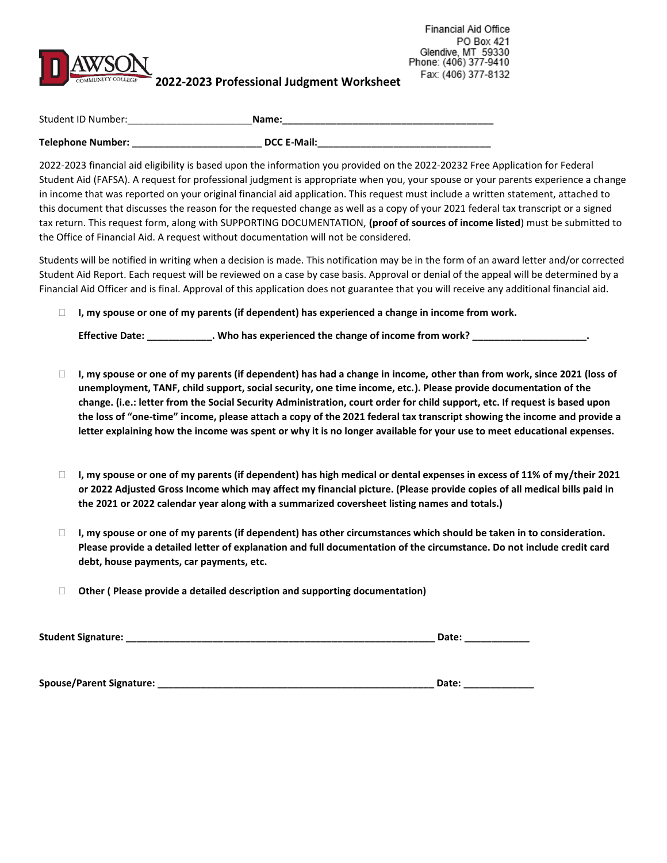

| Student ID Number:       | Name:              |
|--------------------------|--------------------|
| <b>Telephone Number:</b> | <b>DCC E-Mail:</b> |

2022-2023 financial aid eligibility is based upon the information you provided on the 2022-20232 Free Application for Federal Student Aid (FAFSA). A request for professional judgment is appropriate when you, your spouse or your parents experience a change in income that was reported on your original financial aid application. This request must include a written statement, attached to this document that discusses the reason for the requested change as well as a copy of your 2021 federal tax transcript or a signed tax return. This request form, along with SUPPORTING DOCUMENTATION, **(proof of sources of income listed**) must be submitted to the Office of Financial Aid. A request without documentation will not be considered.

Students will be notified in writing when a decision is made. This notification may be in the form of an award letter and/or corrected Student Aid Report. Each request will be reviewed on a case by case basis. Approval or denial of the appeal will be determined by a Financial Aid Officer and is final. Approval of this application does not guarantee that you will receive any additional financial aid.

**I, my spouse or one of my parents (if dependent) has experienced a change in income from work.** 

**Effective Date: \_\_\_\_\_\_\_\_\_\_\_\_\_. Who has experienced the change of income from work?** 

- **I, my spouse or one of my parents (if dependent) has had a change in income, other than from work, since 2021 (loss of unemployment, TANF, child support, social security, one time income, etc.). Please provide documentation of the change. (i.e.: letter from the Social Security Administration, court order for child support, etc. If request is based upon the loss of "one-time" income, please attach a copy of the 2021 federal tax transcript showing the income and provide a letter explaining how the income was spent or why it is no longer available for your use to meet educational expenses.**
- **I, my spouse or one of my parents (if dependent) has high medical or dental expenses in excess of 11% of my/their 2021 or 2022 Adjusted Gross Income which may affect my financial picture. (Please provide copies of all medical bills paid in the 2021 or 2022 calendar year along with a summarized coversheet listing names and totals.)**
- **I, my spouse or one of my parents (if dependent) has other circumstances which should be taken in to consideration. Please provide a detailed letter of explanation and full documentation of the circumstance. Do not include credit card debt, house payments, car payments, etc.**
- **Other ( Please provide a detailed description and supporting documentation)**

| <b>Student Signature:</b> |  | Date: |  |
|---------------------------|--|-------|--|
|---------------------------|--|-------|--|

**Spouse/Parent Signature: \_\_\_\_\_\_\_\_\_\_\_\_\_\_\_\_\_\_\_\_\_\_\_\_\_\_\_\_\_\_\_\_\_\_\_\_\_\_\_\_\_\_\_\_\_\_\_\_\_\_\_ Date: \_\_\_\_\_\_\_\_\_\_\_\_\_**

| Date: |  |  |  |  |
|-------|--|--|--|--|
|       |  |  |  |  |

Financial Aid Office PO Box 421